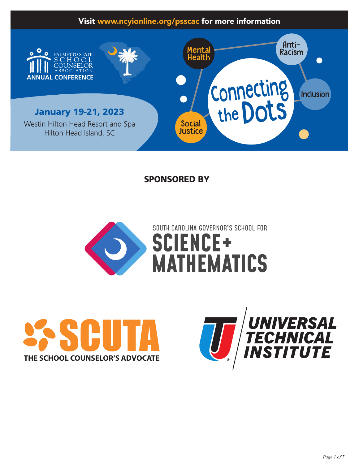## Visit www.ncyionline.org/psscac for more information



## SPONSORED BY





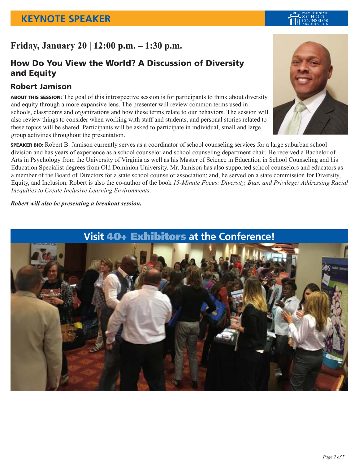## **Friday, January 20 | 12:00 p.m. – 1:30 p.m.**

## How Do You View the World? A Discussion of Diversity and Equity

## Robert Jamison

ABOUT THIS SESSION: The goal of this introspective session is for participants to think about diversity and equity through a more expansive lens. The presenter will review common terms used in schools, classrooms and organizations and how these terms relate to our behaviors. The session will also review things to consider when working with staff and students, and personal stories related to these topics will be shared. Participants will be asked to participate in individual, small and large group activities throughout the presentation.

SPEAKER BIO: Robert B. Jamison currently serves as a coordinator of school counseling services for a large suburban school division and has years of experience as a school counselor and school counseling department chair. He received a Bachelor of Arts in Psychology from the University of Virginia as well as his Master of Science in Education in School Counseling and his Education Specialist degrees from Old Dominion University. Mr. Jamison has also supported school counselors and educators as a member of the Board of Directors for a state school counselor association; and, he served on a state commission for Diversity, Equity, and Inclusion. Robert is also the co-author of the book *15-Minute Focus: Diversity, Bias, and Privilege: Addressing Racial Inequities to Create Inclusive Learning Environments*.

*Robert will also be presenting a breakout session.*



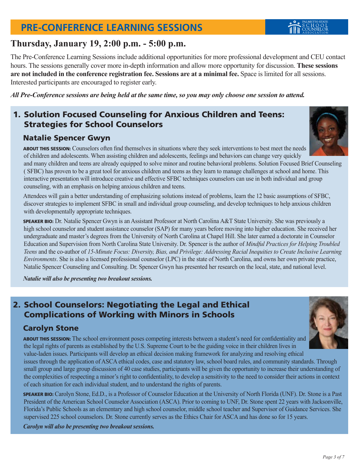## **PRE-CONFERENCE LEARNING SESSIONS**

## **Thursday, January 19, 2:00 p.m. - 5:00 p.m.**

The Pre-Conference Learning Sessions include additional opportunities for more professional development and CEU contact hours. The sessions generally cover more in-depth information and allow more opportunity for discussion. **These sessions are not included in the conference registration fee. Sessions are at a minimal fee.** Space is limited for all sessions. Interested participants are encouraged to register early.

*All Pre-Conference sessions are being held at the same time, so you may only choose one session to attend.*

## 1. Solution Focused Counseling for Anxious Children and Teens: Strategies for School Counselors

#### Natalie Spencer Gwyn

ABOUT THIS SESSION: Counselors often find themselves in situations where they seek interventions to best meet the needs of children and adolescents. When assisting children and adolescents, feelings and behaviors can change very quickly

and many children and teens are already equipped to solve minor and routine behavioral problems. Solution Focused Brief Counseling ( SFBC) has proven to be a great tool for anxious children and teens as they learn to manage challenges at school and home. This interactive presentation will introduce creative and effective SFBC techniques counselors can use in both individual and group counseling, with an emphasis on helping anxious children and teens.

Attendees will gain a better understanding of emphasizing solutions instead of problems, learn the 12 basic assumptions of SFBC, discover strategies to implement SFBC in small and individual group counseling, and develop techniques to help anxious children with developmentally appropriate techniques.

SPEAKER BIO: Dr. Natalie Spencer Gwyn is an Assistant Professor at North Carolina A&T State University. She was previously a high school counselor and student assistance counselor (SAP) for many years before moving into higher education. She received her undergraduate and master's degrees from the University of North Carolina at Chapel Hill. She later earned a doctorate in Counselor Education and Supervision from North Carolina State University. Dr. Spencer is the author of *Mindful Practices for Helping Troubled Teens* and the co-author of *15-Minute Focus: Diversity, Bias, and Privilege: Addressing Racial Inequities to Create Inclusive Learning Environments*. She is also a licensed professional counselor (LPC) in the state of North Carolina, and owns her own private practice, Natalie Spencer Counseling and Consulting. Dr. Spencer Gwyn has presented her research on the local, state, and national level.

*Natalie will also be presenting two breakout sessions.*

## 2. School Counselors: Negotiating the Legal and Ethical Complications of Working with Minors in Schools

## Carolyn Stone

ABOUT THIS SESSION: The school environment poses competing interests between a student's need for confidentiality and the legal rights of parents as established by the U.S. Supreme Court to be the guiding voice in their children lives in value-laden issues. Participants will develop an ethical decision making framework for analyzing and resolving ethical

issues through the application of ASCA ethical codes, case and statutory law, school board rules, and community standards. Through small group and large group discussion of 40 case studies, participants will be given the opportunity to increase their understanding of the complexities of respecting a minor's right to confidentiality, to develop a sensitivity to the need to consider their actions in context of each situation for each individual student, and to understand the rights of parents.

SPEAKER BIO: Carolyn Stone, Ed.D., is a Professor of Counselor Education at the University of North Florida (UNF). Dr. Stone is a Past President of the American School Counselor Association (ASCA). Prior to coming to UNF, Dr. Stone spent 22 years with Jacksonville, Florida's Public Schools as an elementary and high school counselor, middle school teacher and Supervisor of Guidance Services. She supervised 225 school counselors. Dr. Stone currently serves as the Ethics Chair for ASCA and has done so for 15 years.

*Carolyn will also be presenting two breakout sessions.*





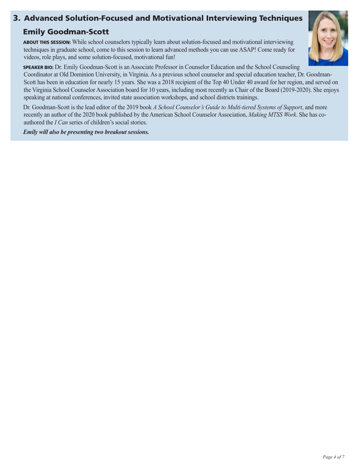## 3. Advanced Solution-Focused and Motivational Interviewing Techniques

### Emily Goodman-Scott

ABOUT THIS SESSION: While school counselors typically learn about solution-focused and motivational interviewing techniques in graduate school, come to this session to learn advanced methods you can use ASAP! Come ready for videos, role plays, and some solution-focused, motivational fun!



SPEAKER BIO: Dr. Emily Goodman-Scott is an Associate Professor in Counselor Education and the School Counseling

Coordinator at Old Dominion University, in Virginia. As a previous school counselor and special education teacher, Dr. Goodman-Scott has been in education for nearly 15 years. She was a 2018 recipient of the Top 40 Under 40 award for her region, and served on the Virginia School Counselor Association board for 10 years, including most recently as Chair of the Board (2019-2020). She enjoys speaking at national conferences, invited state association workshops, and school districts trainings.

Dr. Goodman-Scott is the lead editor of the 2019 book *A School Counselor's Guide to Multi-tiered Systems of Support*, and more recently an author of the 2020 book published by the American School Counselor Association, *Making MTSS Work*. She has coauthored the *I Can* series of children's social stories.

*Emily will also be presenting two breakout sessions.*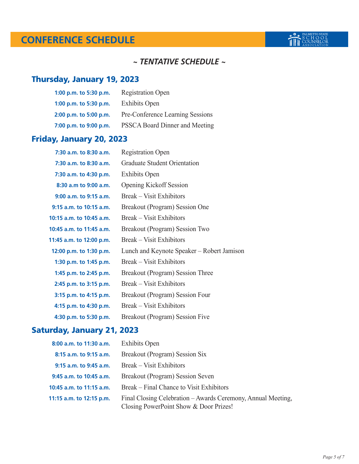## **CONFERENCE SCHEDULE**

### *~ TENTATIVE SCHEDULE ~*

## Thursday, January 19, 2023

| 1:00 p.m. to 5:30 p.m. | <b>Registration Open</b>         |
|------------------------|----------------------------------|
| 1:00 p.m. to 5:30 p.m. | <b>Exhibits Open</b>             |
| 2:00 p.m. to 5:00 p.m. | Pre-Conference Learning Sessions |
| 7:00 p.m. to 9:00 p.m. | PSSCA Board Dinner and Meeting   |

## Friday, January 20, 2023

| 7:30 a.m. to 8:30 a.m.      | <b>Registration Open</b>                   |
|-----------------------------|--------------------------------------------|
| 7:30 a.m. to 8:30 a.m.      | <b>Graduate Student Orientation</b>        |
| 7:30 a.m. to 4:30 p.m.      | <b>Exhibits Open</b>                       |
| 8:30 a.m to 9:00 a.m.       | <b>Opening Kickoff Session</b>             |
| $9:00$ a.m. to $9:15$ a.m.  | <b>Break</b> – Visit Exhibitors            |
| $9:15$ a.m. to $10:15$ a.m. | Breakout (Program) Session One             |
| 10:15 a.m. to 10:45 a.m.    | Break – Visit Exhibitors                   |
| 10:45 a.m. to 11:45 a.m.    | Breakout (Program) Session Two             |
| 11:45 a.m. to 12:00 p.m.    | <b>Break</b> – Visit Exhibitors            |
| 12:00 p.m. to 1:30 p.m.     | Lunch and Keynote Speaker – Robert Jamison |
| 1:30 p.m. to 1:45 p.m.      | <b>Break</b> – Visit Exhibitors            |
| 1:45 p.m. to 2:45 p.m.      | Breakout (Program) Session Three           |
| 2:45 p.m. to 3:15 p.m.      | Break – Visit Exhibitors                   |
| 3:15 p.m. to 4:15 p.m.      | Breakout (Program) Session Four            |
| 4:15 p.m. to 4:30 p.m.      | Break – Visit Exhibitors                   |
| 4:30 p.m. to 5:30 p.m.      | Breakout (Program) Session Five            |

## Saturday, January 21, 2023

| 8:00 a.m. to 11:30 a.m.    | <b>Exhibits Open</b>                                                                                   |
|----------------------------|--------------------------------------------------------------------------------------------------------|
| 8:15 a.m. to 9:15 a.m.     | Breakout (Program) Session Six                                                                         |
| $9:15$ a.m. to $9:45$ a.m. | Break – Visit Exhibitors                                                                               |
| 9:45 a.m. to 10:45 a.m.    | Breakout (Program) Session Seven                                                                       |
| 10:45 a.m. to 11:15 a.m.   | Break – Final Chance to Visit Exhibitors                                                               |
| 11:15 a.m. to 12:15 p.m.   | Final Closing Celebration – Awards Ceremony, Annual Meeting,<br>Closing PowerPoint Show & Door Prizes! |

**BOOK PALMETTO STATE**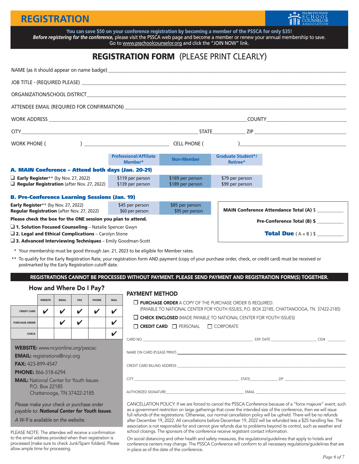## **REGISTRATION**



You can save \$50 on your conference registration by becoming a member of the PSSCA for only \$35! *Before registering for the conference,* please visit the PSSCA web page and become a member or renew your annual membership to save. Go to <u>www.psschoolcounselor.org</u> and click the "JOIN NOW" link.

## REGISTRATION FORM (PLEASE PRINT CLEARLY)

| WORK PHONE (                                                                                    |                                                      |                                      |                                       |                                                |  |  |  |
|-------------------------------------------------------------------------------------------------|------------------------------------------------------|--------------------------------------|---------------------------------------|------------------------------------------------|--|--|--|
|                                                                                                 | <b>Professional/Affiliate</b><br>Member*             | <b>Non-Member</b>                    | <b>Graduate Student*/</b><br>Retiree* |                                                |  |  |  |
| A. MAIN Conference - Attend both days (Jan. 20-21)                                              |                                                      |                                      |                                       |                                                |  |  |  |
| $\Box$ Early Register** (by Nov. 27, 2022)<br>$\Box$ Regular Registration (after Nov. 27, 2022) | \$119 per person<br>\$139 per person                 | \$169 per person<br>\$189 per person | \$79 per person<br>\$99 per person    |                                                |  |  |  |
|                                                                                                 | <b>B. Pre-Conference Learning Sessions (Jan. 19)</b> |                                      |                                       |                                                |  |  |  |
| <b>Early Register**</b> (by Nov. 27, 2022)<br><b>Regular Registration (after Nov. 27, 2022)</b> | \$45 per person<br>\$60 per person                   | \$85 per person<br>\$95 per person   |                                       | <b>MAIN Conference Attendance Total (A) \$</b> |  |  |  |
| Please check the box for the ONE session you plan to attend.                                    |                                                      |                                      |                                       | Pre-Conference Total (B) \$                    |  |  |  |
| $\Box$ 1. Solution Focused Counseling - Natalie Spencer Gwyn                                    |                                                      |                                      |                                       |                                                |  |  |  |
| $\square$ 2. Legal and Ethical Complications - Carolyn Stone                                    |                                                      |                                      |                                       | <b>Total Due</b> $(A + B)$ \$                  |  |  |  |

 $\square$  3. Advanced Interviewing Techniques – Emily Goodman-Scott

\* Your membership must be good through Jan. 21, 2023 to be eligible for Member rates.

\*\* To qualify for the Early Registration Rate, your registration form AND payment (copy of your purchase order, check, or credit card) must be received or postmarked by the Early Registration cutoff date.

REGISTRATIONS CANNOT BE PROCESSED WITHOUT PAYMENT. PLEASE SEND PAYMENT AND REGISTRATION FORM(S) TOGETHER.

#### How and Where Do I Pay?

|                       | <b>WEBSITE</b> | <b>EMAIL</b> | <b>FAX</b>   | <b>PHONE</b> | <b>MAIL</b> |
|-----------------------|----------------|--------------|--------------|--------------|-------------|
| <b>CREDIT CARD</b>    | v              | V            | $\mathbf{v}$ |              | v           |
| <b>PURCHASE ORDER</b> |                | v            |              |              | v           |
| <b>CHECK</b>          |                |              |              |              | L           |

WEBSITE: www.ncyionline.org/psscac

EMAIL: registrations@ncyi.org

FAX: 423-899-4547

PHONE: 866-318-6294

**MAIL:** National Center for Youth Issues P.O. Box 22185 Chattanooga, TN 37422-2185

*Please make your check or purchase order payable to: National Center for Youth Issues*.

*A W-9 is available on the website.*

PLEASE NOTE: The attendee will receive a confirmation to the email address provided when their registration is processed (make sure to check Junk/Spam folders). Please allow ample time for processing.

#### PAYMENT METHOD

 $\square$  PURCHASE ORDER A COPY OF THE PURCHASE ORDER IS REQUIRED. (PAYABLE TO NATIONAL CENTER FOR YOUTH ISSUES, P.O. BOX 22185, CHATTANOOGA, TN 37422-2185)

| $\Box$ CHECK ENCLOSED (MADE PAYABLE TO NATIONAL CENTER FOR YOUTH ISSUES) |  |  |
|--------------------------------------------------------------------------|--|--|
|                                                                          |  |  |

|  | <b>CREDIT CARD</b> | $\Box$ PERSONAL | $\Box$ CORPORATE |
|--|--------------------|-----------------|------------------|
|--|--------------------|-----------------|------------------|

|                                                                                                                   |       |                                                                                                                                                                                                                               | CID# |
|-------------------------------------------------------------------------------------------------------------------|-------|-------------------------------------------------------------------------------------------------------------------------------------------------------------------------------------------------------------------------------|------|
|                                                                                                                   |       |                                                                                                                                                                                                                               |      |
|                                                                                                                   |       |                                                                                                                                                                                                                               |      |
| CITY <b>Example 2008</b>                                                                                          |       | STATE ZIP                                                                                                                                                                                                                     |      |
| AUTHORIZED SIGNATURE<br>the control of the control of the control of the control of the control of the control of | EMAIL | the control of the control of the control of the control of the control of the control of the control of the control of the control of the control of the control of the control of the control of the control of the control |      |

CANCELLATION POLICY: If we are forced to cancel the PSSCA Conference because of a "force majeure" event, such as a government restriction on large gatherings that cover the intended size of the conference, then we will issue full refunds of the registrations. Otherwise, our normal cancellation policy will be upheld: There will be no refunds after December 19, 2022. All cancellations before December 19, 2022 will be refunded less a \$25 handling fee. The association is not responsible for and cannot give refunds due to problems beyond its control, such as weather and school closings. The sponsors of the conference receive registrant contact information.

On social distancing and other health and safety measures, the regulations/guidelines that apply to hotels and conference centers may change. The PSSCA Conference will conform to all necessary regulations/guidelines that are in place as of the date of the conference.